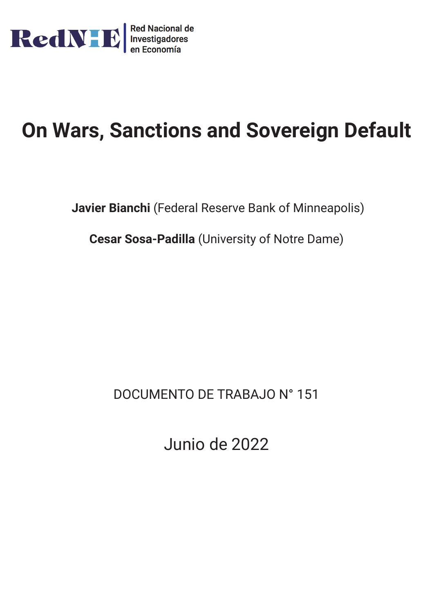

# **On Wars, Sanctions and Sovereign Default**

**Javier Bianchi** (Federal Reserve Bank of Minneapolis)

**Cesar Sosa-Padilla** (University of Notre Dame)

DOCUMENTO DE TRABAJO N° 151

Junio de 2022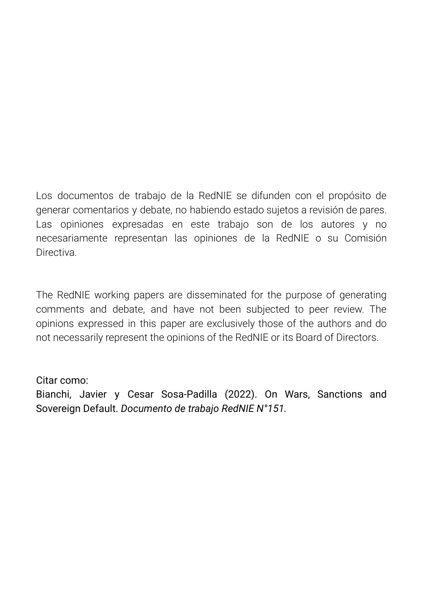Los documentos de trabajo de la RedNIE se difunden con el propósito de generar comentarios y debate, no habiendo estado sujetos a revisión de pares. Las opiniones expresadas en este trabajo son de los autores y no necesariamente representan las opiniones de la RedNIE o su Comisión **Directiva** 

The RedNIE working papers are disseminated for the purpose of generating comments and debate, and have not been subjected to peer review. The opinions expressed in this paper are exclusively those of the authors and do not necessarily represent the opinions of the RedNIE or its Board of Directors.

# Citar como:

Bianchi, Javier y Cesar Sosa-Padilla (2022). On Wars, Sanctions and Sovereign Default. *Documento de trabajo RedNIE N°151.*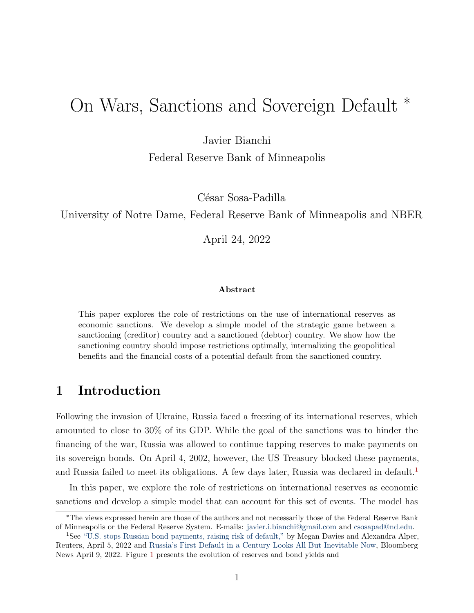# On Wars, Sanctions and Sovereign Default <sup>∗</sup>

Javier Bianchi

Federal Reserve Bank of Minneapolis

César Sosa-Padilla

University of Notre Dame, Federal Reserve Bank of Minneapolis and NBER

April 24, 2022

#### Abstract

This paper explores the role of restrictions on the use of international reserves as economic sanctions. We develop a simple model of the strategic game between a sanctioning (creditor) country and a sanctioned (debtor) country. We show how the sanctioning country should impose restrictions optimally, internalizing the geopolitical benefits and the financial costs of a potential default from the sanctioned country.

# 1 Introduction

Following the invasion of Ukraine, Russia faced a freezing of its international reserves, which amounted to close to 30% of its GDP. While the goal of the sanctions was to hinder the financing of the war, Russia was allowed to continue tapping reserves to make payments on its sovereign bonds. On April 4, 2002, however, the US Treasury blocked these payments, and Russia failed to meet its obligations. A few days later, Russia was declared in default.<sup>[1](#page-2-0)</sup>

In this paper, we explore the role of restrictions on international reserves as economic sanctions and develop a simple model that can account for this set of events. The model has

<sup>∗</sup>The views expressed herein are those of the authors and not necessarily those of the Federal Reserve Bank of Minneapolis or the Federal Reserve System. E-mails: [javier.i.bianchi@gmail.com](mailto:javieribianchi@gmail.com) and [csosapad@nd.edu.](mailto:csosapad@nd.edu)

<span id="page-2-0"></span><sup>&</sup>lt;sup>1</sup>See ["U.S. stops Russian bond payments, raising risk of default,"](https://www.reuters.com/business/us-cracks-down-russian-debt-payments-latest-sovereign-payments-halted-2022-04-05/) by Megan Davies and Alexandra Alper, Reuters, April 5, 2022 and [Russia's First Default in a Century Looks All But Inevitable Now,](https://www.bloomberg.com/news/articles/2022-04-09/russia-s-first-default-in-a-century-looks-all-but-inevitable-now) Bloomberg News April 9, 2022. Figure [1](#page-3-0) presents the evolution of reserves and bond yields and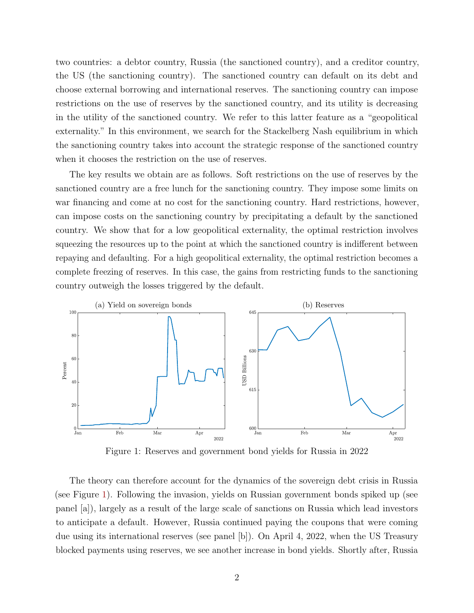two countries: a debtor country, Russia (the sanctioned country), and a creditor country, the US (the sanctioning country). The sanctioned country can default on its debt and choose external borrowing and international reserves. The sanctioning country can impose restrictions on the use of reserves by the sanctioned country, and its utility is decreasing in the utility of the sanctioned country. We refer to this latter feature as a "geopolitical externality." In this environment, we search for the Stackelberg Nash equilibrium in which the sanctioning country takes into account the strategic response of the sanctioned country when it chooses the restriction on the use of reserves.

The key results we obtain are as follows. Soft restrictions on the use of reserves by the sanctioned country are a free lunch for the sanctioning country. They impose some limits on war financing and come at no cost for the sanctioning country. Hard restrictions, however, can impose costs on the sanctioning country by precipitating a default by the sanctioned country. We show that for a low geopolitical externality, the optimal restriction involves squeezing the resources up to the point at which the sanctioned country is indifferent between repaying and defaulting. For a high geopolitical externality, the optimal restriction becomes a complete freezing of reserves. In this case, the gains from restricting funds to the sanctioning country outweigh the losses triggered by the default.

<span id="page-3-0"></span>

Figure 1: Reserves and government bond yields for Russia in 2022

The theory can therefore account for the dynamics of the sovereign debt crisis in Russia (see Figure [1\)](#page-3-0). Following the invasion, yields on Russian government bonds spiked up (see panel [a]), largely as a result of the large scale of sanctions on Russia which lead investors to anticipate a default. However, Russia continued paying the coupons that were coming due using its international reserves (see panel [b]). On April 4, 2022, when the US Treasury blocked payments using reserves, we see another increase in bond yields. Shortly after, Russia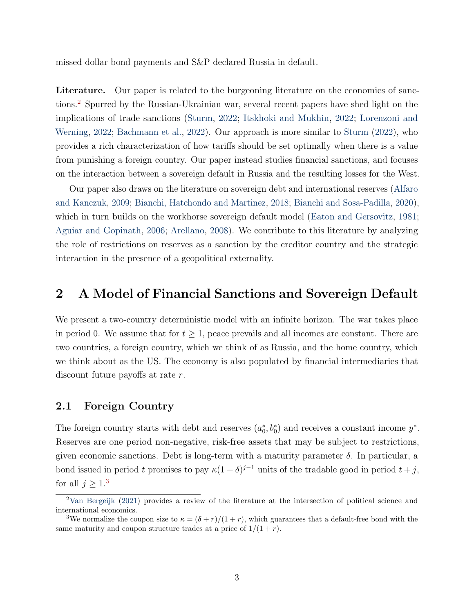missed dollar bond payments and S&P declared Russia in default.

Literature. Our paper is related to the burgeoning literature on the economics of sanctions.[2](#page-4-0) Spurred by the Russian-Ukrainian war, several recent papers have shed light on the implications of trade sanctions [\(Sturm,](#page-14-0) [2022;](#page-14-0) [Itskhoki and Mukhin,](#page-14-1) [2022;](#page-14-1) [Lorenzoni and](#page-14-2) [Werning,](#page-14-2) [2022;](#page-14-2) [Bachmann et al.,](#page-13-0) [2022\)](#page-13-0). Our approach is more similar to [Sturm](#page-14-0) [\(2022\)](#page-14-0), who provides a rich characterization of how tariffs should be set optimally when there is a value from punishing a foreign country. Our paper instead studies financial sanctions, and focuses on the interaction between a sovereign default in Russia and the resulting losses for the West.

Our paper also draws on the literature on sovereign debt and international reserves [\(Alfaro](#page-13-1) [and Kanczuk,](#page-13-1) [2009;](#page-13-1) [Bianchi, Hatchondo and Martinez,](#page-14-3) [2018;](#page-14-3) [Bianchi and Sosa-Padilla,](#page-14-4) [2020\)](#page-14-4), which in turn builds on the workhorse sovereign default model [\(Eaton and Gersovitz,](#page-14-5) [1981;](#page-14-5) [Aguiar and Gopinath,](#page-13-2) [2006;](#page-13-2) [Arellano,](#page-13-3) [2008\)](#page-13-3). We contribute to this literature by analyzing the role of restrictions on reserves as a sanction by the creditor country and the strategic interaction in the presence of a geopolitical externality.

## 2 A Model of Financial Sanctions and Sovereign Default

We present a two-country deterministic model with an infinite horizon. The war takes place in period 0. We assume that for  $t \geq 1$ , peace prevails and all incomes are constant. There are two countries, a foreign country, which we think of as Russia, and the home country, which we think about as the US. The economy is also populated by financial intermediaries that discount future payoffs at rate r.

#### 2.1 Foreign Country

The foreign country starts with debt and reserves  $(a_0^*, b_0^*)$  and receives a constant income  $y^*$ . Reserves are one period non-negative, risk-free assets that may be subject to restrictions, given economic sanctions. Debt is long-term with a maturity parameter  $\delta$ . In particular, a bond issued in period t promises to pay  $\kappa(1-\delta)^{j-1}$  units of the tradable good in period  $t+j$ , for all  $j \geq 1.3$  $j \geq 1.3$ 

<span id="page-4-0"></span><sup>2</sup>[Van Bergeijk](#page-14-6) [\(2021\)](#page-14-6) provides a review of the literature at the intersection of political science and international economics.

<span id="page-4-1"></span><sup>&</sup>lt;sup>3</sup>We normalize the coupon size to  $\kappa = (\delta + r)/(1 + r)$ , which guarantees that a default-free bond with the same maturity and coupon structure trades at a price of  $1/(1+r)$ .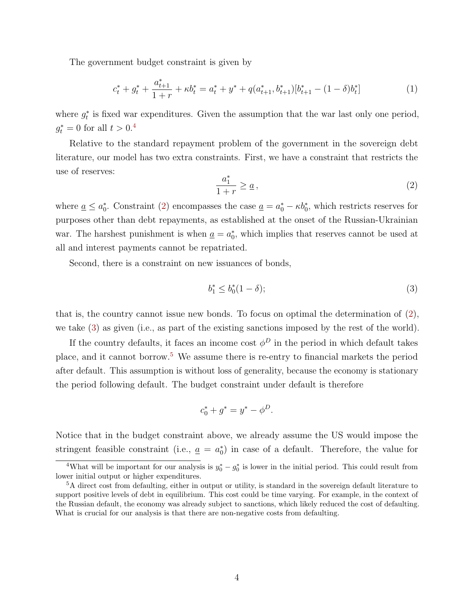The government budget constraint is given by

$$
c_t^* + g_t^* + \frac{a_{t+1}^*}{1+r} + \kappa b_t^* = a_t^* + y^* + q(a_{t+1}^*, b_{t+1}^*)[b_{t+1}^* - (1-\delta)b_t^*]
$$
(1)

where  $g_t^*$  is fixed war expenditures. Given the assumption that the war last only one period,  $g_t^* = 0$  for all  $t > 0.4$  $t > 0.4$ 

Relative to the standard repayment problem of the government in the sovereign debt literature, our model has two extra constraints. First, we have a constraint that restricts the use of reserves:

<span id="page-5-1"></span>
$$
\frac{a_1^*}{1+r} \ge \underline{a} \,,\tag{2}
$$

where  $\underline{a} \leq a_0^*$ . Constraint [\(2\)](#page-5-1) encompasses the case  $\underline{a} = a_0^* - \kappa b_0^*$ , which restricts reserves for purposes other than debt repayments, as established at the onset of the Russian-Ukrainian war. The harshest punishment is when  $\underline{a} = a_0^*$ , which implies that reserves cannot be used at all and interest payments cannot be repatriated.

Second, there is a constraint on new issuances of bonds,

<span id="page-5-2"></span>
$$
b_1^* \le b_0^*(1 - \delta); \tag{3}
$$

that is, the country cannot issue new bonds. To focus on optimal the determination of [\(2\)](#page-5-1), we take [\(3\)](#page-5-2) as given (i.e., as part of the existing sanctions imposed by the rest of the world).

If the country defaults, it faces an income cost  $\phi^D$  in the period in which default takes place, and it cannot borrow.[5](#page-5-3) We assume there is re-entry to financial markets the period after default. This assumption is without loss of generality, because the economy is stationary the period following default. The budget constraint under default is therefore

$$
c_0^* + g^* = y^* - \phi^D.
$$

Notice that in the budget constraint above, we already assume the US would impose the stringent feasible constraint (i.e.,  $\underline{a} = a_0^*$ ) in case of a default. Therefore, the value for

<span id="page-5-0"></span><sup>&</sup>lt;sup>4</sup>What will be important for our analysis is  $y_0^* - g_0^*$  is lower in the initial period. This could result from lower initial output or higher expenditures.

<span id="page-5-3"></span><sup>5</sup>A direct cost from defaulting, either in output or utility, is standard in the sovereign default literature to support positive levels of debt in equilibrium. This cost could be time varying. For example, in the context of the Russian default, the economy was already subject to sanctions, which likely reduced the cost of defaulting. What is crucial for our analysis is that there are non-negative costs from defaulting.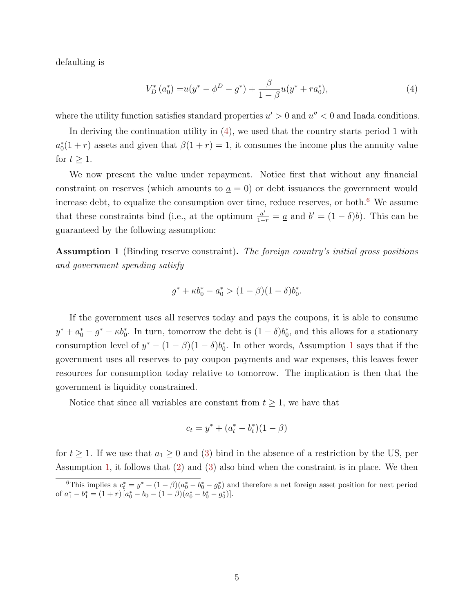defaulting is

<span id="page-6-0"></span>
$$
V_D^*(a_0^*) = u(y^* - \phi^D - g^*) + \frac{\beta}{1 - \beta} u(y^* + ra_0^*),\tag{4}
$$

where the utility function satisfies standard properties  $u' > 0$  and  $u'' < 0$  and Inada conditions.

In deriving the continuation utility in [\(4\)](#page-6-0), we used that the country starts period 1 with  $a_0^*(1+r)$  assets and given that  $\beta(1+r)=1$ , it consumes the income plus the annuity value for  $t \geq 1$ .

We now present the value under repayment. Notice first that without any financial constraint on reserves (which amounts to  $a = 0$ ) or debt issuances the government would increase debt, to equalize the consumption over time, reduce reserves, or both. $6$  We assume that these constraints bind (i.e., at the optimum  $\frac{a'}{1+r} = \underline{a}$  and  $b' = (1-\delta)b$ ). This can be guaranteed by the following assumption:

<span id="page-6-2"></span>**Assumption 1** (Binding reserve constraint). The foreign country's initial gross positions and government spending satisfy

$$
g^* + \kappa b_0^* - a_0^* > (1 - \beta)(1 - \delta)b_0^*.
$$

If the government uses all reserves today and pays the coupons, it is able to consume  $y^* + a_0^* - g^* - \kappa b_0^*$ . In turn, tomorrow the debt is  $(1 - \delta)b_0^*$ , and this allows for a stationary consumption level of  $y^* - (1 - \beta)(1 - \delta)b_0^*$  $y^* - (1 - \beta)(1 - \delta)b_0^*$  $y^* - (1 - \beta)(1 - \delta)b_0^*$ . In other words, Assumption 1 says that if the government uses all reserves to pay coupon payments and war expenses, this leaves fewer resources for consumption today relative to tomorrow. The implication is then that the government is liquidity constrained.

Notice that since all variables are constant from  $t \geq 1$ , we have that

$$
c_t = y^* + (a_t^* - b_t^*)(1 - \beta)
$$

for  $t \geq 1$ . If we use that  $a_1 \geq 0$  and [\(3\)](#page-5-2) bind in the absence of a restriction by the US, per Assumption [1,](#page-6-2) it follows that [\(2\)](#page-5-1) and [\(3\)](#page-5-2) also bind when the constraint is in place. We then

<span id="page-6-1"></span><sup>&</sup>lt;sup>6</sup>This implies a  $c_t^* = y^* + (1 - \beta)(a_0^* - b_0^* - g_0^*)$  and therefore a net foreign asset position for next period of  $a_1^* - b_1^* = (1+r) [a_0^* - b_0 - (1-\beta)(a_0^* - b_0^* - g_0^*)].$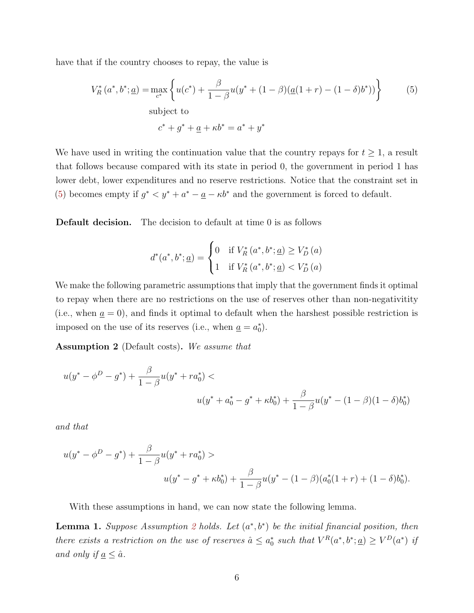have that if the country chooses to repay, the value is

$$
V_R^*(a^*, b^*; \underline{a}) = \max_{c^*} \left\{ u(c^*) + \frac{\beta}{1 - \beta} u(y^* + (1 - \beta)(\underline{a}(1 + r) - (1 - \delta)b^*)) \right\}
$$
(5)  
subject to  

$$
c^* + g^* + \underline{a} + \kappa b^* = a^* + y^*
$$

We have used in writing the continuation value that the country repays for  $t \geq 1$ , a result that follows because compared with its state in period 0, the government in period 1 has lower debt, lower expenditures and no reserve restrictions. Notice that the constraint set in [\(5\)](#page-7-0) becomes empty if  $g^* < y^* + a^* - a - \kappa b^*$  and the government is forced to default.

Default decision. The decision to default at time 0 is as follows

<span id="page-7-0"></span>
$$
d^{*}(a^{*},b^{*};\underline{a}) = \begin{cases} 0 & \text{if } V_{R}^{*}\left(a^{*},b^{*};\underline{a}\right) \geq V_{D}^{*}\left(a\right) \\ 1 & \text{if } V_{R}^{*}\left(a^{*},b^{*};\underline{a}\right) < V_{D}^{*}\left(a\right) \end{cases}
$$

We make the following parametric assumptions that imply that the government finds it optimal to repay when there are no restrictions on the use of reserves other than non-negativitity (i.e., when  $\underline{a} = 0$ ), and finds it optimal to default when the harshest possible restriction is imposed on the use of its reserves (i.e., when  $\underline{a} = a_0^*$ ).

<span id="page-7-1"></span>Assumption 2 (Default costs). We assume that

$$
u(y^* - \phi^D - g^*) + \frac{\beta}{1 - \beta} u(y^* + ra_0^*) <
$$
  

$$
u(y^* + a_0^* - g^* + \kappa b_0^*) + \frac{\beta}{1 - \beta} u(y^* - (1 - \beta)(1 - \delta)b_0^*)
$$

and that

$$
u(y^* - \phi^D - g^*) + \frac{\beta}{1 - \beta} u(y^* + ra_0^*) >
$$
  

$$
u(y^* - g^* + \kappa b_0^*) + \frac{\beta}{1 - \beta} u(y^* - (1 - \beta)(a_0^*(1 + r) + (1 - \delta)b_0^*).
$$

With these assumptions in hand, we can now state the following lemma.

<span id="page-7-2"></span>**Lemma 1.** Suppose Assumption [2](#page-7-1) holds. Let  $(a^*, b^*)$  be the initial financial position, then there exists a restriction on the use of reserves  $\hat{a} \le a_0^*$  such that  $V^R(a^*,b^*; \underline{a}) \ge V^D(a^*)$  if and only if  $\underline{a} \leq \hat{a}$ .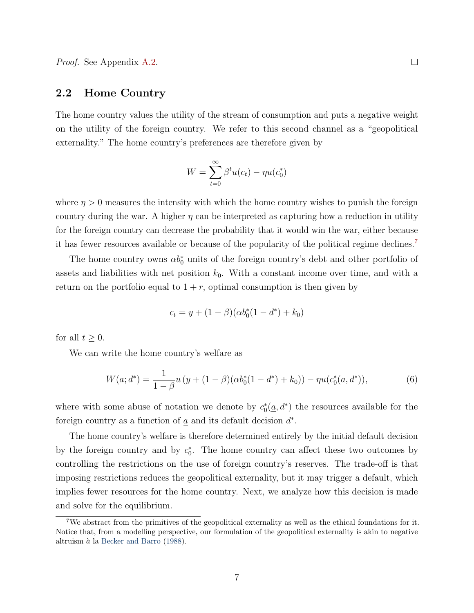#### 2.2 Home Country

The home country values the utility of the stream of consumption and puts a negative weight on the utility of the foreign country. We refer to this second channel as a "geopolitical externality." The home country's preferences are therefore given by

$$
W = \sum_{t=0}^{\infty} \beta^t u(c_t) - \eta u(c_0^*)
$$

where  $\eta > 0$  measures the intensity with which the home country wishes to punish the foreign country during the war. A higher  $\eta$  can be interpreted as capturing how a reduction in utility for the foreign country can decrease the probability that it would win the war, either because it has fewer resources available or because of the popularity of the political regime declines.[7](#page-8-0)

The home country owns  $\alpha b_0^*$  units of the foreign country's debt and other portfolio of assets and liabilities with net position  $k_0$ . With a constant income over time, and with a return on the portfolio equal to  $1 + r$ , optimal consumption is then given by

$$
c_t = y + (1 - \beta)(\alpha b_0^*(1 - d^*) + k_0)
$$

for all  $t \geq 0$ .

We can write the home country's welfare as

<span id="page-8-1"></span>
$$
W(\underline{a};d^*) = \frac{1}{1-\beta}u\left(y + (1-\beta)(\alpha b_0^*(1-d^*) + k_0)\right) - \eta u(c_0^*(\underline{a},d^*)),\tag{6}
$$

where with some abuse of notation we denote by  $c_0^*(\underline{a}, d^*)$  the resources available for the foreign country as a function of  $\underline{a}$  and its default decision  $d^*$ .

The home country's welfare is therefore determined entirely by the initial default decision by the foreign country and by  $c_0^*$ . The home country can affect these two outcomes by controlling the restrictions on the use of foreign country's reserves. The trade-off is that imposing restrictions reduces the geopolitical externality, but it may trigger a default, which implies fewer resources for the home country. Next, we analyze how this decision is made and solve for the equilibrium.

<span id="page-8-0"></span><sup>7</sup>We abstract from the primitives of the geopolitical externality as well as the ethical foundations for it. Notice that, from a modelling perspective, our formulation of the geopolitical externality is akin to negative altruism  $\dot{a}$  la [Becker and Barro](#page-14-7) [\(1988\)](#page-14-7).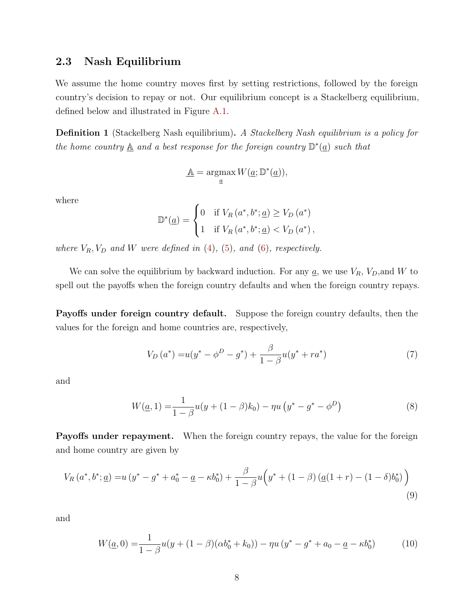#### 2.3 Nash Equilibrium

We assume the home country moves first by setting restrictions, followed by the foreign country's decision to repay or not. Our equilibrium concept is a Stackelberg equilibrium, defined below and illustrated in Figure [A.1.](#page-15-0)

Definition 1 (Stackelberg Nash equilibrium). A Stackelberg Nash equilibrium is a policy for the home country  $\underline{\mathbb{A}}$  and a best response for the foreign country  $\mathbb{D}^*(\underline{a})$  such that

$$
\underline{\mathbb{A}} = \operatorname*{argmax}_{\underline{a}} W(\underline{a}; \mathbb{D}^*(\underline{a})),
$$

where

$$
\mathbb{D}^*(\underline{a}) = \begin{cases} 0 & \text{if } V_R(a^*, b^*; \underline{a}) \ge V_D(a^*) \\ 1 & \text{if } V_R(a^*, b^*; \underline{a}) < V_D(a^*) \end{cases}
$$

where  $V_R$ ,  $V_D$  and W were defined in [\(4\)](#page-6-0), [\(5\)](#page-7-0), and [\(6\)](#page-8-1), respectively.

We can solve the equilibrium by backward induction. For any  $\underline{a}$ , we use  $V_R$ ,  $V_D$ , and W to spell out the payoffs when the foreign country defaults and when the foreign country repays.

Payoffs under foreign country default. Suppose the foreign country defaults, then the values for the foreign and home countries are, respectively,

$$
V_D(a^*) = u(y^* - \phi^D - g^*) + \frac{\beta}{1 - \beta} u(y^* + ra^*)
$$
\n(7)

and

$$
W(\underline{a}, 1) = \frac{1}{1 - \beta} u(y + (1 - \beta)k_0) - \eta u(y^* - g^* - \phi^D)
$$
\n(8)

Payoffs under repayment. When the foreign country repays, the value for the foreign and home country are given by

$$
V_R(a^*,b^*; \underline{a}) = u(y^* - g^* + a_0^* - \underline{a} - \kappa b_0^*) + \frac{\beta}{1 - \beta} u(y^* + (1 - \beta) (\underline{a}(1 + r) - (1 - \delta)b_0^*))
$$
\n(9)

and

$$
W(\underline{a},0) = \frac{1}{1-\beta}u(y+(1-\beta)(\alpha b_0^* + k_0)) - \eta u(y^* - g^* + a_0 - \underline{a} - \kappa b_0^*)
$$
 (10)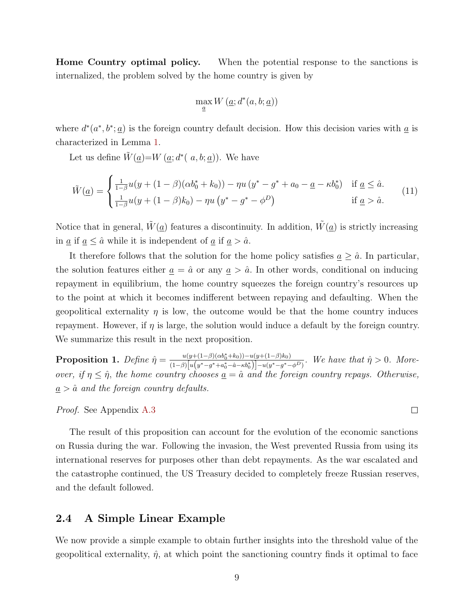Home Country optimal policy. When the potential response to the sanctions is internalized, the problem solved by the home country is given by

$$
\max_{\underline{a}} W\left(\underline{a};d^*(a,b;\underline{a})\right)
$$

where  $d^*(a^*, b^*; a)$  is the foreign country default decision. How this decision varies with  $\underline{a}$  is characterized in Lemma [1.](#page-7-2)

Let us define  $\tilde{W}(\underline{a})=W(\underline{a};d^{\ast}(-a,b;\underline{a}))$ . We have

<span id="page-10-1"></span>
$$
\tilde{W}(\underline{a}) = \begin{cases}\n\frac{1}{1-\beta}u(y + (1-\beta)(\alpha b_0^* + k_0)) - \eta u(y^* - g^* + a_0 - \underline{a} - \kappa b_0^*) & \text{if } \underline{a} \leq \hat{a} \\
\frac{1}{1-\beta}u(y + (1-\beta)k_0) - \eta u(y^* - g^* - \phi^D) & \text{if } \underline{a} > \hat{a}.\n\end{cases}
$$
\n(11)

Notice that in general,  $\tilde{W}(\underline{a})$  features a discontinuity. In addition,  $\tilde{W}(\underline{a})$  is strictly increasing in  $\underline{a}$  if  $\underline{a} \leq \hat{a}$  while it is independent of  $\underline{a}$  if  $\underline{a} > \hat{a}$ .

It therefore follows that the solution for the home policy satisfies  $\underline{a} \geq \hat{a}$ . In particular, the solution features either  $\underline{a} = \hat{a}$  or any  $\underline{a} > \hat{a}$ . In other words, conditional on inducing repayment in equilibrium, the home country squeezes the foreign country's resources up to the point at which it becomes indifferent between repaying and defaulting. When the geopolitical externality  $\eta$  is low, the outcome would be that the home country induces repayment. However, if  $\eta$  is large, the solution would induce a default by the foreign country. We summarize this result in the next proposition.

<span id="page-10-0"></span>Proposition 1. Define ηˆ = u(y+(1−β)(αb<sup>∗</sup> <sup>0</sup>+k0))−u(y+(1−β)k0)  $\frac{u(y+(1-\beta)(\alpha b_0+\kappa_0))-u(y+(1-\beta)\kappa_0)}{(1-\beta)[u(y^*-g^*+\alpha_0^*-\hat{a}-\kappa b_0^*)]-u(y^*-g^*-\phi^D)}$ . We have that  $\hat{\eta}>0$ . Moreover, if  $\eta \leq \hat{\eta}$ , the home country chooses  $\underline{a} = \hat{a}$  and the foreign country repays. Otherwise,  $\underline{a} > \hat{a}$  and the foreign country defaults.

Proof. See Appendix [A.3](#page-16-1)

The result of this proposition can account for the evolution of the economic sanctions on Russia during the war. Following the invasion, the West prevented Russia from using its international reserves for purposes other than debt repayments. As the war escalated and the catastrophe continued, the US Treasury decided to completely freeze Russian reserves, and the default followed.

#### 2.4 A Simple Linear Example

We now provide a simple example to obtain further insights into the threshold value of the geopolitical externality,  $\hat{\eta}$ , at which point the sanctioning country finds it optimal to face

 $\Box$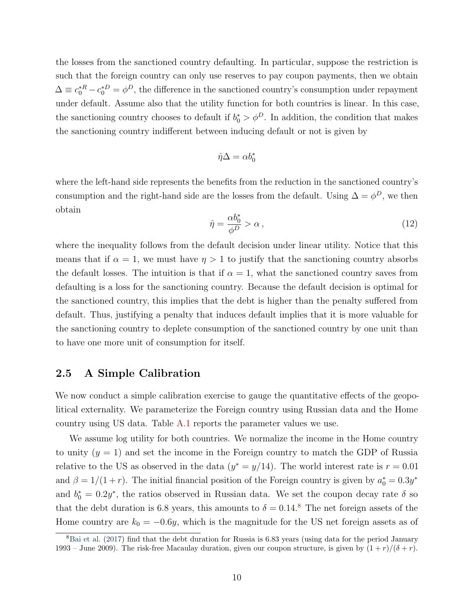the losses from the sanctioned country defaulting. In particular, suppose the restriction is such that the foreign country can only use reserves to pay coupon payments, then we obtain  $\Delta \equiv c_0^* R - c_0^* D = \phi^D$ , the difference in the sanctioned country's consumption under repayment under default. Assume also that the utility function for both countries is linear. In this case, the sanctioning country chooses to default if  $b_0^* > \phi^D$ . In addition, the condition that makes the sanctioning country indifferent between inducing default or not is given by

$$
\hat{\eta}\Delta=\alpha b_0^*
$$

where the left-hand side represents the benefits from the reduction in the sanctioned country's consumption and the right-hand side are the losses from the default. Using  $\Delta = \phi^D$ , we then obtain

$$
\hat{\eta} = \frac{\alpha b_0^*}{\phi^D} > \alpha \,,\tag{12}
$$

where the inequality follows from the default decision under linear utility. Notice that this means that if  $\alpha = 1$ , we must have  $\eta > 1$  to justify that the sanctioning country absorbs the default losses. The intuition is that if  $\alpha = 1$ , what the sanctioned country saves from defaulting is a loss for the sanctioning country. Because the default decision is optimal for the sanctioned country, this implies that the debt is higher than the penalty suffered from default. Thus, justifying a penalty that induces default implies that it is more valuable for the sanctioning country to deplete consumption of the sanctioned country by one unit than to have one more unit of consumption for itself.

#### 2.5 A Simple Calibration

We now conduct a simple calibration exercise to gauge the quantitative effects of the geopolitical externality. We parameterize the Foreign country using Russian data and the Home country using US data. Table [A.1](#page-15-1) reports the parameter values we use.

We assume log utility for both countries. We normalize the income in the Home country to unity  $(y = 1)$  and set the income in the Foreign country to match the GDP of Russia relative to the US as observed in the data  $(y^* = y/14)$ . The world interest rate is  $r = 0.01$ and  $\beta = 1/(1+r)$ . The initial financial position of the Foreign country is given by  $a_0^* = 0.3y^*$ and  $b_0^* = 0.2y^*$ , the ratios observed in Russian data. We set the coupon decay rate  $\delta$  so that the debt duration is 6.[8](#page-11-0) years, this amounts to  $\delta = 0.14$ .<sup>8</sup> The net foreign assets of the Home country are  $k_0 = -0.6y$ , which is the magnitude for the US net foreign assets as of

<span id="page-11-0"></span><sup>&</sup>lt;sup>8</sup>[Bai et al.](#page-14-8) [\(2017\)](#page-14-8) find that the debt duration for Russia is 6.83 years (using data for the period January 1993 – June 2009). The risk-free Macaulay duration, given our coupon structure, is given by  $(1 + r)/(\delta + r)$ .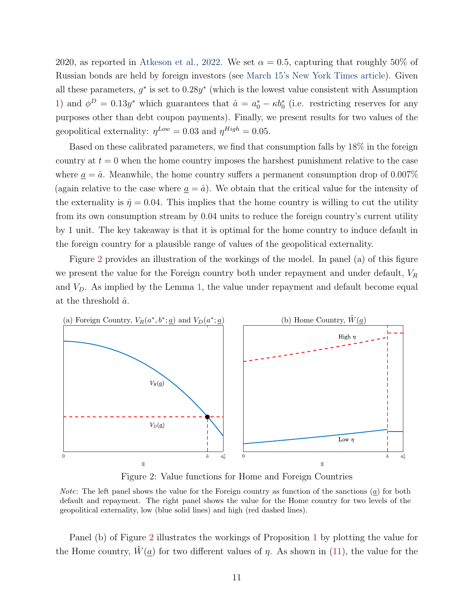2020, as reported in [Atkeson et al.,](#page-13-4) [2022.](#page-13-4) We set  $\alpha = 0.5$ , capturing that roughly 50% of Russian bonds are held by foreign investors (see [March 15's New York Times article\)](https://www.nytimes.com/2022/03/15/business/russia-debt-bonds-default.html). Given all these parameters,  $g^*$  is set to  $0.28y^*$  (which is the lowest value consistent with Assumption [1\)](#page-6-2) and  $\phi^D = 0.13y^*$  which guarantees that  $\hat{a} = a_0^* - \kappa b_0^*$  (i.e. restricting reserves for any purposes other than debt coupon payments). Finally, we present results for two values of the geopolitical externality:  $\eta^{Low} = 0.03$  and  $\eta^{High} = 0.05$ .

Based on these calibrated parameters, we find that consumption falls by 18% in the foreign country at  $t = 0$  when the home country imposes the harshest punishment relative to the case where  $a = \hat{a}$ . Meanwhile, the home country suffers a permanent consumption drop of 0.007% (again relative to the case where  $\underline{a} = \hat{a}$ ). We obtain that the critical value for the intensity of the externality is  $\hat{\eta} = 0.04$ . This implies that the home country is willing to cut the utility from its own consumption stream by 0.04 units to reduce the foreign country's current utility by 1 unit. The key takeaway is that it is optimal for the home country to induce default in the foreign country for a plausible range of values of the geopolitical externality.

Figure [2](#page-12-0) provides an illustration of the workings of the model. In panel (a) of this figure we present the value for the Foreign country both under repayment and under default,  $V_R$ and  $V<sub>D</sub>$ . As implied by the Lemma [1,](#page-7-2) the value under repayment and default become equal at the threshold  $\hat{a}$ .

<span id="page-12-0"></span>

Figure 2: Value functions for Home and Foreign Countries

*Note:* The left panel shows the value for the Foreign country as function of the sanctions  $(a)$  for both default and repayment. The right panel shows the value for the Home country for two levels of the geopolitical externality, low (blue solid lines) and high (red dashed lines).

Panel (b) of Figure [2](#page-12-0) illustrates the workings of Proposition [1](#page-10-0) by plotting the value for the Home country,  $\hat{W}(\underline{a})$  for two different values of  $\eta$ . As shown in [\(11\)](#page-10-1), the value for the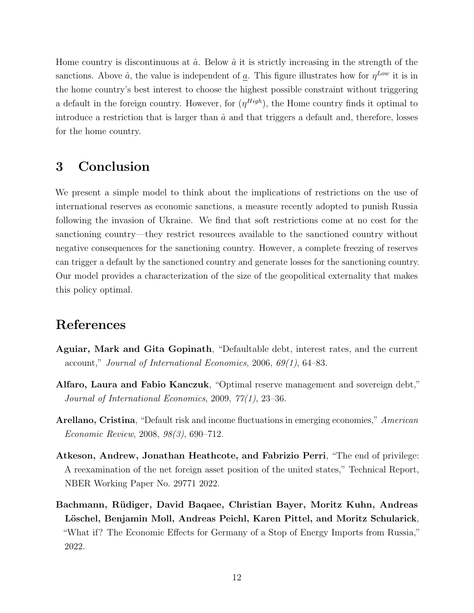Home country is discontinuous at  $\hat{a}$ . Below  $\hat{a}$  it is strictly increasing in the strength of the sanctions. Above  $\hat{a}$ , the value is independent of  $\underline{a}$ . This figure illustrates how for  $\eta^{Low}$  it is in the home country's best interest to choose the highest possible constraint without triggering a default in the foreign country. However, for  $(\eta^{High})$ , the Home country finds it optimal to introduce a restriction that is larger than  $\hat{a}$  and that triggers a default and, therefore, losses for the home country.

# 3 Conclusion

We present a simple model to think about the implications of restrictions on the use of international reserves as economic sanctions, a measure recently adopted to punish Russia following the invasion of Ukraine. We find that soft restrictions come at no cost for the sanctioning country—they restrict resources available to the sanctioned country without negative consequences for the sanctioning country. However, a complete freezing of reserves can trigger a default by the sanctioned country and generate losses for the sanctioning country. Our model provides a characterization of the size of the geopolitical externality that makes this policy optimal.

## References

- <span id="page-13-2"></span>Aguiar, Mark and Gita Gopinath, "Defaultable debt, interest rates, and the current account," Journal of International Economics, 2006, 69(1), 64–83.
- <span id="page-13-1"></span>Alfaro, Laura and Fabio Kanczuk, "Optimal reserve management and sovereign debt," Journal of International Economics, 2009, 77(1), 23–36.
- <span id="page-13-3"></span>Arellano, Cristina, "Default risk and income fluctuations in emerging economies," American Economic Review, 2008, 98(3), 690–712.
- <span id="page-13-4"></span>Atkeson, Andrew, Jonathan Heathcote, and Fabrizio Perri, "The end of privilege: A reexamination of the net foreign asset position of the united states," Technical Report, NBER Working Paper No. 29771 2022.
- <span id="page-13-0"></span>Bachmann, Rüdiger, David Baqaee, Christian Bayer, Moritz Kuhn, Andreas Löschel, Benjamin Moll, Andreas Peichl, Karen Pittel, and Moritz Schularick, "What if? The Economic Effects for Germany of a Stop of Energy Imports from Russia," 2022.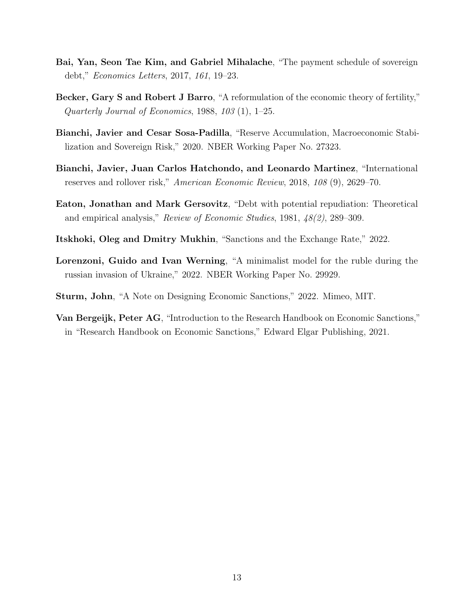- <span id="page-14-8"></span>Bai, Yan, Seon Tae Kim, and Gabriel Mihalache, "The payment schedule of sovereign debt," Economics Letters, 2017, 161, 19–23.
- <span id="page-14-7"></span>Becker, Gary S and Robert J Barro, "A reformulation of the economic theory of fertility," Quarterly Journal of Economics, 1988, 103 (1), 1–25.
- <span id="page-14-4"></span>Bianchi, Javier and Cesar Sosa-Padilla, "Reserve Accumulation, Macroeconomic Stabilization and Sovereign Risk," 2020. NBER Working Paper No. 27323.
- <span id="page-14-3"></span>Bianchi, Javier, Juan Carlos Hatchondo, and Leonardo Martinez, "International reserves and rollover risk," American Economic Review, 2018, 108 (9), 2629–70.
- <span id="page-14-5"></span>Eaton, Jonathan and Mark Gersovitz, "Debt with potential repudiation: Theoretical and empirical analysis," Review of Economic Studies, 1981, 48(2), 289–309.
- <span id="page-14-1"></span>Itskhoki, Oleg and Dmitry Mukhin, "Sanctions and the Exchange Rate," 2022.
- <span id="page-14-2"></span>Lorenzoni, Guido and Ivan Werning, "A minimalist model for the ruble during the russian invasion of Ukraine," 2022. NBER Working Paper No. 29929.
- <span id="page-14-0"></span>Sturm, John, "A Note on Designing Economic Sanctions," 2022. Mimeo, MIT.
- <span id="page-14-6"></span>Van Bergeijk, Peter AG, "Introduction to the Research Handbook on Economic Sanctions," in "Research Handbook on Economic Sanctions," Edward Elgar Publishing, 2021.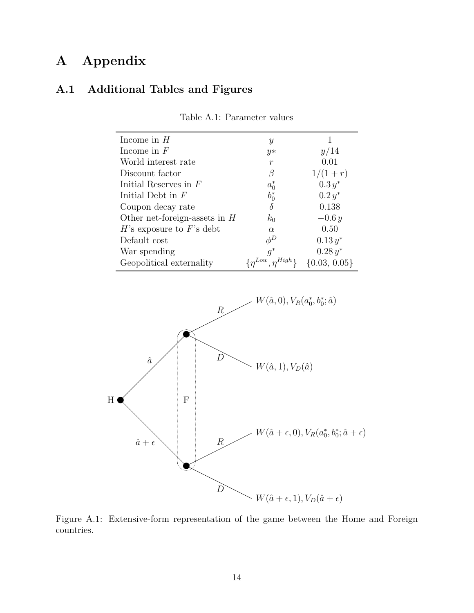# A Appendix

# <span id="page-15-1"></span>A.1 Additional Tables and Figures

| Income in $H$                   | Y                             |                  |
|---------------------------------|-------------------------------|------------------|
| Income in $F$                   | $y*$                          | y/14             |
| World interest rate             | $\boldsymbol{r}$              | 0.01             |
| Discount factor                 | В                             | $1/(1+r)$        |
| Initial Reserves in $F$         | $a_0^*$                       | $0.3 y^*$        |
| Initial Debt in $F$             | $b_0^*$                       | $0.2 y^*$        |
| Coupon decay rate               | $\delta$                      | 0.138            |
| Other net-foreign-assets in $H$ | $k_0$                         | $-0.6y$          |
| $H$ 's exposure to $F$ 's debt  | $\alpha$                      | 0.50             |
| Default cost                    | $\phi^D$                      | $0.13 y^*$       |
| War spending                    | $q^*$                         | $0.28 y^*$       |
| Geopolitical externality        | $\{\eta^{Low}, \eta^{High}\}$ | $\{0.03, 0.05\}$ |

Table A.1: Parameter values

<span id="page-15-0"></span>

Figure A.1: Extensive-form representation of the game between the Home and Foreign countries.